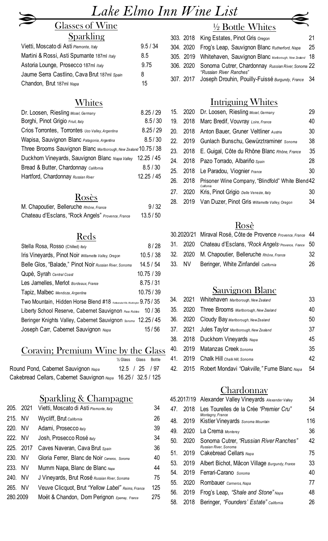## *Lake Elmo Inn Wine List*

## Glasses of Wine Sparkling

| $\sim$ p continuating                       |          |
|---------------------------------------------|----------|
| Vietti, Moscato di Asti Piemonte, Italy     | 9.5 / 34 |
| Martini & Rossi, Asti Spumante 187ml Italy  | 8.5      |
| Astoria Lounge, Prosecco 187ml Italy        | 9.75     |
| Jaume Serra Castlino, Cava Brut 187ml Spain | 8        |
| Chandon, Brut 187ml Napa                    | 15       |

#### **Whites**

| Dr. Loosen, Riesling Mosel, Germany                              | 8.25/29    |
|------------------------------------------------------------------|------------|
| Borghi, Pinot Grigio Friuli, Italy                               | 8.5/30     |
| Crios Torrontes, Torrontes Uco Valley, Argentina                 | 8.25/29    |
| Wapisa, Sauvignon Blanc Patagonia, Argentina                     | 8.5/30     |
| Three Brooms Sauvignon Blanc Marlborough, New Zealand 10.75 / 38 |            |
| Duckhorn Vineyards, Sauvignon Blanc Napa Valley                  | 12.25 / 45 |
| Bread & Butter, Chardonnay California                            | 8.5 / 30   |
| Hartford, Chardonnay Russian River                               | 12.25/45   |

#### Rosès

| M. Chapoutier, Belleruche Rhône, France           | 9/32    |
|---------------------------------------------------|---------|
| Chateau d'Esclans, "Rock Angels" Provence, France | 13.5/50 |

#### Reds

| Stella Rosa, Rosso (Chilled) Italy                                           | 8/28       |
|------------------------------------------------------------------------------|------------|
| Iris Vineyards, Pinot Noir Willamette Valley, Oregon                         | 10.5 / 38  |
| Belle Glos, "Balade," Pinot Noir Russian River, Sonoma                       | 14.5 / 54  |
| Qupè, Syrah Central Coast                                                    | 10.75 / 39 |
| Les Jamelles, Merlot Bordeaux, France                                        | 8.75 / 31  |
| Tapiz, Malbec Mendoza, Argentina                                             | 10.75/39   |
| Two Mountain, Hidden Horse Blend #18 Rattlesnake Hitls, Washington 9.75 / 35 |            |
| Liberty School Reserve, Cabernet Sauvignon Paso Robles 10 / 36               |            |
| Beringer Knights Valley, Cabernet Sauvignon Sonoma 12.25 / 45                |            |
| Joseph Carr, Cabernet Sauvignon Napa                                         | 15 / 56    |

#### Coravin; Premium Wine by the Glass

|                                                               | 1/ <sub>2</sub> Glass Glass Bottle |  |
|---------------------------------------------------------------|------------------------------------|--|
| Round Pond, Cabernet Sauvignon Napa                           | $12.5$ / $25$ / 97                 |  |
| Cakebread Cellars, Cabernet Sauvignon Napa 16.25 / 32.5 / 125 |                                    |  |

#### Sparkling & Champagne

|          | 205. 2021 | Vietti, Moscato di Asti Piemonte, Italy           | 34  |
|----------|-----------|---------------------------------------------------|-----|
| 215. NV  |           | Wycliff, Brut California                          | 26  |
| 220. NV  |           | Adami, Prosecco ttaly                             | 39  |
| 222. NV  |           | Josh, Prosecco Rosé ttaly                         | 34  |
|          | 225. 2017 | Caves Naveran, Cava Brut Spain                    | 36  |
| 230. NV  |           | Gloria Ferrer, Blanc de Noir Cameros, Sonoma      | 40  |
| 233. NV  |           | Mumm Napa, Blanc de Blanc Napa                    | 44  |
| 240. NV  |           | J Vineyards, Brut Rosé Russian River, Sonoma      | 75  |
| 265. NV  |           | Veuve Clicquot, Brut "Yellow Label" Reims, France | 125 |
| 280.2009 |           | Moët & Chandon, Dom Perignon Epernay, France      | 275 |

## ½ Bottle Whites

|  | 303. 2018 King Estates, Pinot Gris Oregon                                               | 21 |
|--|-----------------------------------------------------------------------------------------|----|
|  | 304. 2020 Frog's Leap, Sauvignon Blanc Rutherford, Napa                                 | 25 |
|  | 305. 2019 Whitehaven, Sauvignon Blanc Martborough, New Zealand 18                       |    |
|  | 306. 2020 Sonoma Cutrer, Chardonnay Russian River, Sonoma 22<br>"Russian River Ranches" |    |
|  | 307. 2017 Joseph Drouhin, Pouilly-Fuissé Burgundy, France 34                            |    |

## Intriguing Whites

| 15. | 2020     | Dr. Loosen, Riesling Mosel, Germany                             | 29 |
|-----|----------|-----------------------------------------------------------------|----|
| 19. |          | 2018 Marc Bredif, Vouvray Loire, France                         | 40 |
| 20. | 2018     | Anton Bauer, Gruner Veltliner Austria                           | 30 |
|     | 22. 2019 | Gunlach Bunschu, Gewürztraminer Sonoma                          | 38 |
| 23. | 2018     | E. Guigal, Côte du Rhône Blanc Rhône, France                    | 35 |
|     |          | 24. 2018 Pazo Torrado, Albariño Spain                           | 28 |
| 25. | 2018     | Le Paradou, Viognier France                                     | 30 |
| 26. | 2018     | Prisoner Wine Company, "Blindfold" White Blend 42<br>California |    |
| 27. | 2020     | Kris, Pinot Grigio Delle Venezie, Italy                         | 30 |
| 28. | 2019     | Van Duzer, Pinot Gris Willamette Valley, Oregon                 | 34 |
|     |          |                                                                 |    |

#### Rosè

|        | 30.2020/21 Miraval Rosé, Côte de Provence Provence, France 44 |    |
|--------|---------------------------------------------------------------|----|
|        | 31. 2020 Chateau d'Esclans, "Rock Angels Provence, France 50  |    |
|        | 32. 2020 M. Chapoutier, Belleruche Rhône, France              | 32 |
| 33. NV | Beringer, White Zinfandel California                          | 26 |
|        |                                                               |    |

## Sauvignon Blanc

|  | 34. 2021 Whitehaven Marlborough, New Zealand        | 33 |
|--|-----------------------------------------------------|----|
|  | 35. 2020 Three Brooms Marlborough, New Zealand      | 40 |
|  | 36. 2020 Cloudy Bay Marlborough, New Zealand        | 50 |
|  | 37. 2021 Jules Taylor Marlborough, New Zealand      | 37 |
|  | 38. 2018 Duckhorn Vineyards Napa                    | 45 |
|  | 40. 2019 Matanzas Creek Sonoma                      | 35 |
|  | 41. 2019 Chalk Hill Chalk Hill, Sonoma              | 42 |
|  | 42. 2015 Robert Mondavi "Oakville," Fume Blanc Napa | 54 |
|  |                                                     |    |

## **Chardonnay**

|     |      | 45.2017/19 Alexander Valley Vineyards Alexander Valley          | 34  |
|-----|------|-----------------------------------------------------------------|-----|
| 47. | 2018 | Les Tourelles de la Crée "Premier Cru"<br>Montagny, France      | 54  |
| 48. | 2019 | Kistler Vineyards Sonoma Mountain                               | 116 |
| 49. | 2020 | La Crema Monterey                                               | 36  |
| 50. | 2020 | Sonoma Cutrer, "Russian River Ranches"<br>Russian River, Sonoma | 42  |
| 51. | 2019 | Cakebread Cellars Napa                                          | 75  |
| 53. |      | 2019 Albert Bichot, Mâcon Village Burgundy, France              | 33  |
| 54. | 2019 | Ferrari-Carano Sonoma                                           | 40  |
| 55. | 2020 | Rombauer Carneros, Napa                                         | 77  |
| 56. | 2019 | Frog's Leap, "Shale and Stone" Napa                             | 48  |
| 58. | 2018 | Beringer, "Founders' Estate" California                         | 26  |